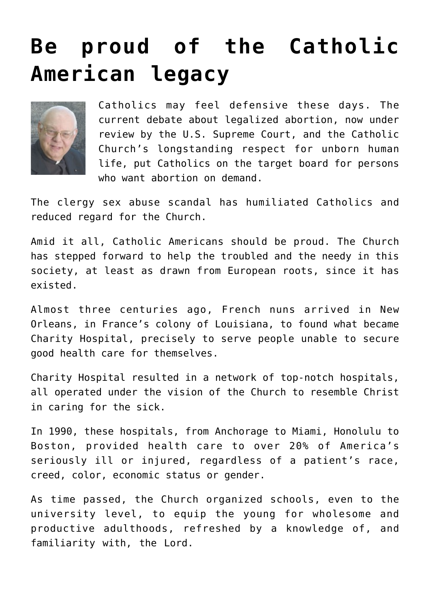## **[Be proud of the Catholic](https://www.osvnews.com/2021/12/30/be-proud-of-the-catholic-american-legacy/) [American legacy](https://www.osvnews.com/2021/12/30/be-proud-of-the-catholic-american-legacy/)**



Catholics may feel defensive these days. The current debate about legalized abortion, now under review by the U.S. Supreme Court, and the Catholic Church's longstanding respect for unborn human life, put Catholics on the target board for persons who want abortion on demand.

The clergy sex abuse scandal has humiliated Catholics and reduced regard for the Church.

Amid it all, Catholic Americans should be proud. The Church has stepped forward to help the troubled and the needy in this society, at least as drawn from European roots, since it has existed.

Almost three centuries ago, French nuns arrived in New Orleans, in France's colony of Louisiana, to found what became Charity Hospital, precisely to serve people unable to secure good health care for themselves.

Charity Hospital resulted in a network of top-notch hospitals, all operated under the vision of the Church to resemble Christ in caring for the sick.

In 1990, these hospitals, from Anchorage to Miami, Honolulu to Boston, provided health care to over 20% of America's seriously ill or injured, regardless of a patient's race, creed, color, economic status or gender.

As time passed, the Church organized schools, even to the university level, to equip the young for wholesome and productive adulthoods, refreshed by a knowledge of, and familiarity with, the Lord.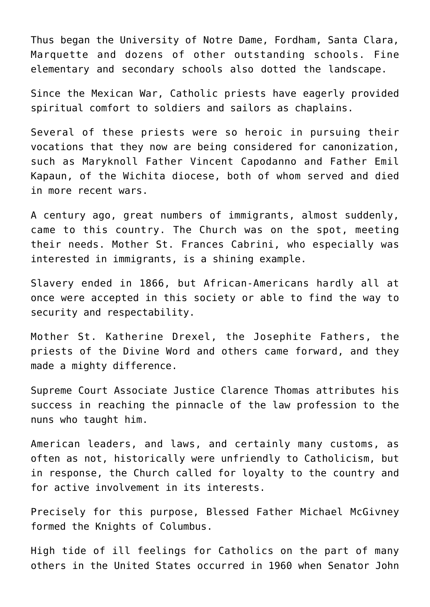Thus began the University of Notre Dame, Fordham, Santa Clara, Marquette and dozens of other outstanding schools. Fine elementary and secondary schools also dotted the landscape.

Since the Mexican War, Catholic priests have eagerly provided spiritual comfort to soldiers and sailors as chaplains.

Several of these priests were so heroic in pursuing their vocations that they now are being considered for canonization, such as Maryknoll Father Vincent Capodanno and Father Emil Kapaun, of the Wichita diocese, both of whom served and died in more recent wars.

A century ago, great numbers of immigrants, almost suddenly, came to this country. The Church was on the spot, meeting their needs. Mother St. Frances Cabrini, who especially was interested in immigrants, is a shining example.

Slavery ended in 1866, but African-Americans hardly all at once were accepted in this society or able to find the way to security and respectability.

Mother St. Katherine Drexel, the Josephite Fathers, the priests of the Divine Word and others came forward, and they made a mighty difference.

Supreme Court Associate Justice Clarence Thomas attributes his success in reaching the pinnacle of the law profession to the nuns who taught him.

American leaders, and laws, and certainly many customs, as often as not, historically were unfriendly to Catholicism, but in response, the Church called for loyalty to the country and for active involvement in its interests.

Precisely for this purpose, Blessed Father Michael McGivney formed the Knights of Columbus.

High tide of ill feelings for Catholics on the part of many others in the United States occurred in 1960 when Senator John